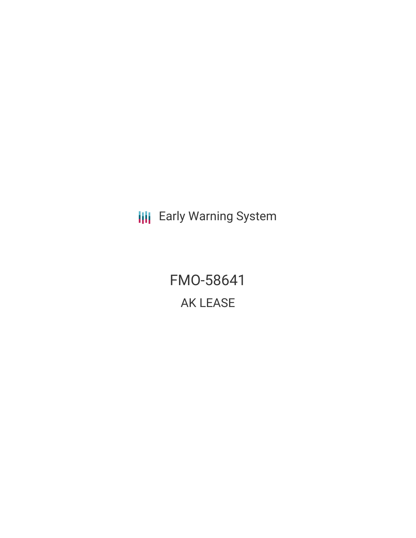**III** Early Warning System

FMO-58641 AK LEASE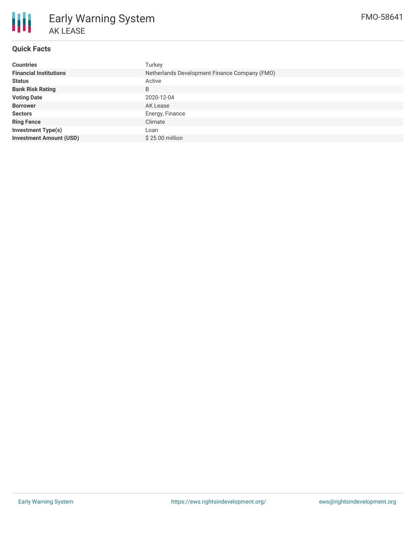

## **Quick Facts**

| <b>Countries</b>               | Turkey                                        |
|--------------------------------|-----------------------------------------------|
| <b>Financial Institutions</b>  | Netherlands Development Finance Company (FMO) |
| <b>Status</b>                  | Active                                        |
| <b>Bank Risk Rating</b>        | B                                             |
| <b>Voting Date</b>             | 2020-12-04                                    |
| <b>Borrower</b>                | AK Lease                                      |
| <b>Sectors</b>                 | Energy, Finance                               |
| <b>Ring Fence</b>              | Climate                                       |
| <b>Investment Type(s)</b>      | Loan                                          |
| <b>Investment Amount (USD)</b> | $$25.00$ million                              |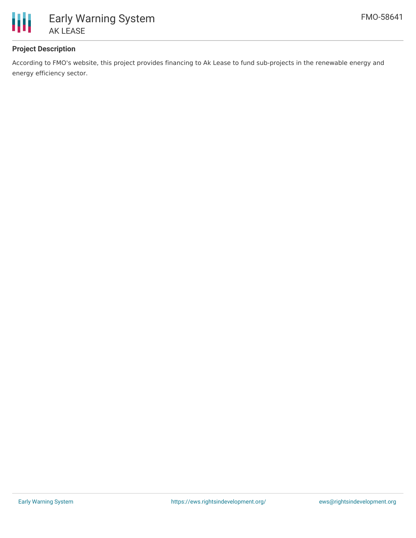

# **Project Description**

According to FMO's website, this project provides financing to Ak Lease to fund sub-projects in the renewable energy and energy efficiency sector.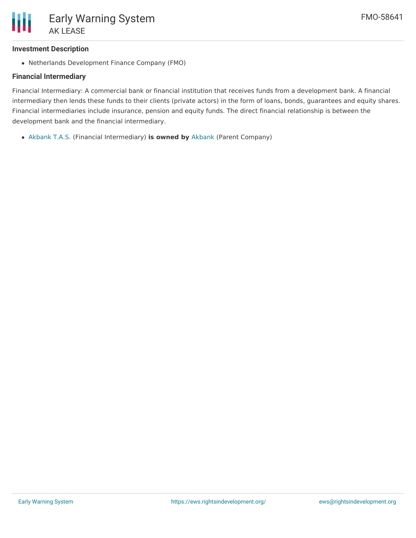### **Investment Description**

Netherlands Development Finance Company (FMO)

## **Financial Intermediary**

Financial Intermediary: A commercial bank or financial institution that receives funds from a development bank. A financial intermediary then lends these funds to their clients (private actors) in the form of loans, bonds, guarantees and equity shares. Financial intermediaries include insurance, pension and equity funds. The direct financial relationship is between the development bank and the financial intermediary.

[Akbank](file:///actor/898/) T.A.S. (Financial Intermediary) **is owned by** [Akbank](file:///actor/3524/) (Parent Company)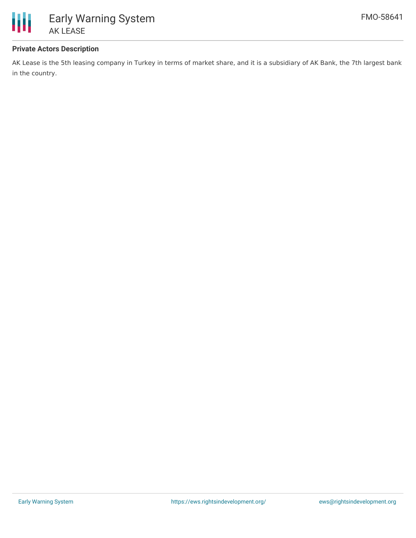

## **Private Actors Description**

AK Lease is the 5th leasing company in Turkey in terms of market share, and it is a subsidiary of AK Bank, the 7th largest bank in the country.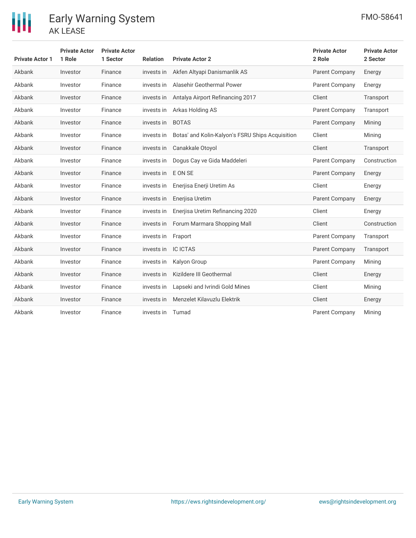

| <b>Private Actor 1</b> | <b>Private Actor</b><br>1 Role | <b>Private Actor</b><br>1 Sector | <b>Relation</b> | <b>Private Actor 2</b>                           | <b>Private Actor</b><br>2 Role | <b>Private Actor</b><br>2 Sector |
|------------------------|--------------------------------|----------------------------------|-----------------|--------------------------------------------------|--------------------------------|----------------------------------|
| Akbank                 | Investor                       | Finance                          | invests in      | Akfen Altyapi Danismanlik AS                     | Parent Company                 | Energy                           |
| Akbank                 | Investor                       | Finance                          | invests in      | Alasehir Geothermal Power<br>Parent Company      |                                | Energy                           |
| Akbank                 | Investor                       | Finance                          | invests in      | Antalya Airport Refinancing 2017<br>Client       |                                | Transport                        |
| Akbank                 | Investor                       | Finance                          | invests in      | Arkas Holding AS<br>Parent Company               |                                | Transport                        |
| Akbank                 | Investor                       | Finance                          | invests in      | <b>BOTAS</b><br>Parent Company                   |                                | Mining                           |
| Akbank                 | Investor                       | Finance                          | invests in      | Botas' and Kolin-Kalyon's FSRU Ships Acquisition | Client                         | Mining                           |
| Akbank                 | Investor                       | Finance                          | invests in      | Canakkale Otoyol                                 | Client                         | Transport                        |
| Akbank                 | Investor                       | Finance                          | invests in      | Dogus Cay ve Gida Maddeleri                      | Parent Company                 | Construction                     |
| Akbank                 | Investor                       | Finance                          | invests in      | E ON SE                                          | Parent Company                 | Energy                           |
| Akbank                 | Investor                       | Finance                          | invests in      | Enerjisa Enerji Uretim As                        | Client                         | Energy                           |
| Akbank                 | Investor                       | Finance                          | invests in      | Enerjisa Uretim                                  | Parent Company                 | Energy                           |
| Akbank                 | Investor                       | Finance                          | invests in      | Enerjisa Uretim Refinancing 2020                 | Client                         | Energy                           |
| Akbank                 | Investor                       | Finance                          | invests in      | Forum Marmara Shopping Mall                      | Client                         | Construction                     |
| Akbank                 | Investor                       | Finance                          | invests in      | Fraport                                          | Parent Company                 | Transport                        |
| Akbank                 | Investor                       | Finance                          | invests in      | <b>IC ICTAS</b>                                  | Parent Company                 | Transport                        |
| Akbank                 | Investor                       | Finance                          | invests in      | Kalyon Group                                     | Parent Company                 | Mining                           |
| Akbank                 | Investor                       | Finance                          | invests in      | Kizildere III Geothermal                         | Client                         | Energy                           |
| Akbank                 | Investor                       | Finance                          | invests in      | Lapseki and Ivrindi Gold Mines                   | Client                         | Mining                           |
| Akbank                 | Investor                       | Finance                          | invests in      | Menzelet Kilavuzlu Elektrik                      | Client                         | Energy                           |
| Akbank                 | Investor                       | Finance                          | invests in      | Tumad                                            | Parent Company                 | Mining                           |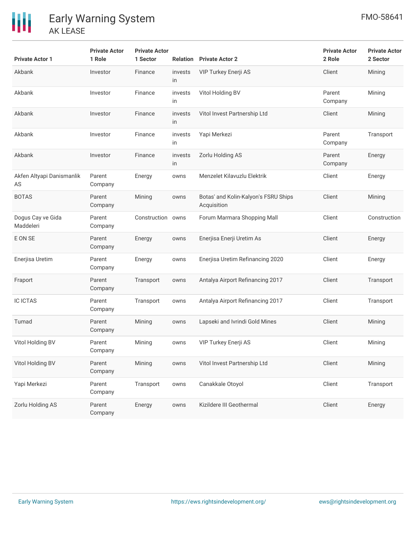| <b>Private Actor 1</b>          | <b>Private Actor</b><br>1 Role | <b>Private Actor</b><br>1 Sector |               | <b>Relation</b> Private Actor 2                     | <b>Private Actor</b><br>2 Role | <b>Private Actor</b><br>2 Sector |
|---------------------------------|--------------------------------|----------------------------------|---------------|-----------------------------------------------------|--------------------------------|----------------------------------|
| Akbank                          | Investor                       | Finance                          | invests<br>in | VIP Turkey Enerji AS                                | Client                         | Mining                           |
| Akbank                          | Investor                       | Finance                          | invests<br>in | Vitol Holding BV                                    | Parent<br>Company              | Mining                           |
| Akbank                          | Investor                       | Finance                          | invests<br>in | Vitol Invest Partnership Ltd                        | Client                         | Mining                           |
| Akbank                          | Investor                       | Finance                          | invests<br>in | Yapi Merkezi                                        | Parent<br>Company              | Transport                        |
| Akbank                          | Investor                       | Finance                          | invests<br>in | Zorlu Holding AS                                    | Parent<br>Company              | Energy                           |
| Akfen Altyapi Danismanlik<br>AS | Parent<br>Company              | Energy                           | owns          | Menzelet Kilavuzlu Elektrik                         | Client                         | Energy                           |
| <b>BOTAS</b>                    | Parent<br>Company              | Mining                           | owns          | Botas' and Kolin-Kalyon's FSRU Ships<br>Acquisition | Client                         | Mining                           |
| Dogus Cay ve Gida<br>Maddeleri  | Parent<br>Company              | Construction owns                |               | Forum Marmara Shopping Mall                         | Client                         | Construction                     |
| E ON SE                         | Parent<br>Company              | Energy                           | owns          | Enerjisa Enerji Uretim As                           | Client                         | Energy                           |
| Enerjisa Uretim                 | Parent<br>Company              | Energy                           | owns          | Enerjisa Uretim Refinancing 2020                    | Client                         | Energy                           |
| Fraport                         | Parent<br>Company              | Transport                        | owns          | Antalya Airport Refinancing 2017                    | Client                         | Transport                        |
| <b>IC ICTAS</b>                 | Parent<br>Company              | Transport                        | owns          | Antalya Airport Refinancing 2017                    | Client                         | Transport                        |
| Tumad                           | Parent<br>Company              | Mining                           | owns          | Lapseki and Ivrindi Gold Mines                      | Client                         | Mining                           |
| Vitol Holding BV                | Parent<br>Company              | Mining                           | owns          | VIP Turkey Enerji AS                                | Client                         | Mining                           |
| Vitol Holding BV                | Parent<br>Company              | Mining                           | owns          | Vitol Invest Partnership Ltd                        | Client                         | Mining                           |
| Yapi Merkezi                    | Parent<br>Company              | Transport                        | owns          | Canakkale Otoyol                                    | Client                         | Transport                        |
| Zorlu Holding AS                | Parent<br>Company              | Energy                           | owns          | Kizildere III Geothermal                            | Client                         | Energy                           |